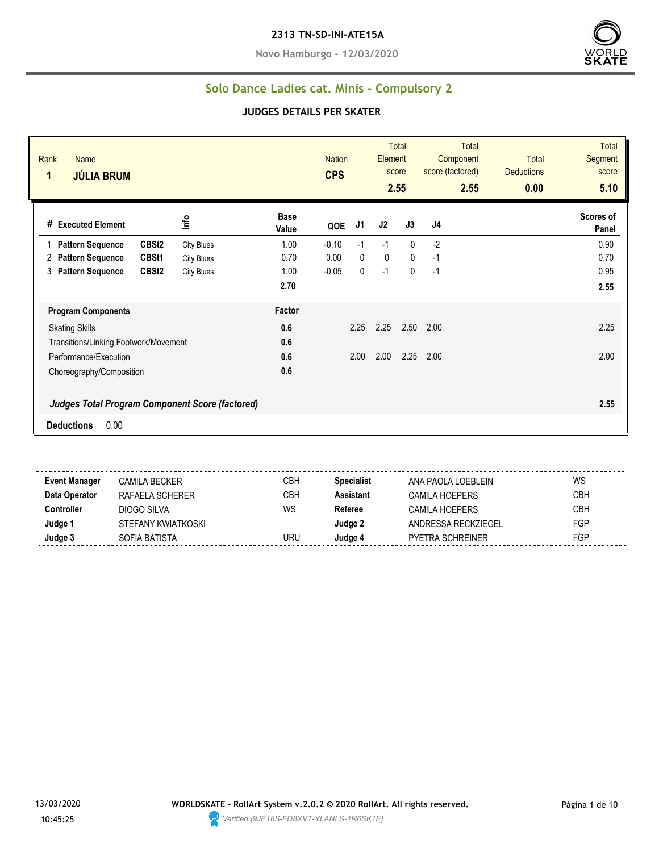**Novo Hamburgo - 12/03/2020**



## **Solo Dance Ladies cat. Minis - Compulsory 2**

#### **JUDGES DETAILS PER SKATER**

| Rank<br>Name<br>1<br><b>JÚLIA BRUM</b>            |                   |                      | <b>Nation</b><br><b>CPS</b> |              | Element      | <b>Total</b><br>score<br>2.55 | <b>Total</b><br>Component<br>score (factored)<br>2.55 | <b>Total</b><br><b>Deductions</b><br>0.00 | <b>Total</b><br>Segment<br>score<br>5.10 |
|---------------------------------------------------|-------------------|----------------------|-----------------------------|--------------|--------------|-------------------------------|-------------------------------------------------------|-------------------------------------------|------------------------------------------|
| # Executed Element                                | Info              | <b>Base</b><br>Value | QOE                         | J1           | J2           | J3                            | J4                                                    |                                           | Scores of<br>Panel                       |
| CBSt <sub>2</sub><br><b>Pattern Sequence</b>      | <b>City Blues</b> | 1.00                 | $-0.10$                     | $-1$         | $-1$         | $\Omega$                      | $-2$                                                  |                                           | 0.90                                     |
| <b>Pattern Sequence</b><br>CBSt1<br>2             | <b>City Blues</b> | 0.70                 | 0.00                        | $\mathbf{0}$ | $\mathbf{0}$ | $\mathbf{0}$                  | $-1$                                                  |                                           | 0.70                                     |
| CBSt <sub>2</sub><br><b>Pattern Sequence</b><br>3 | <b>City Blues</b> | 1.00                 | $-0.05$                     | 0            | $-1$         | 0                             | $-1$                                                  |                                           | 0.95                                     |
|                                                   |                   | 2.70                 |                             |              |              |                               |                                                       |                                           | 2.55                                     |
| <b>Program Components</b>                         |                   | Factor               |                             |              |              |                               |                                                       |                                           |                                          |
| <b>Skating Skills</b>                             |                   | 0.6                  |                             | 2.25         | 2.25         | 2.50                          | 2.00                                                  |                                           | 2.25                                     |
| Transitions/Linking Footwork/Movement             |                   | 0.6                  |                             |              |              |                               |                                                       |                                           |                                          |
| Performance/Execution                             |                   | 0.6                  |                             | 2.00         | 2.00         | 2.25                          | 2.00                                                  |                                           | 2.00                                     |
| Choreography/Composition                          |                   | 0.6                  |                             |              |              |                               |                                                       |                                           |                                          |
| Judges Total Program Component Score (factored)   |                   |                      |                             |              |              |                               |                                                       |                                           | 2.55                                     |
| 0.00<br><b>Deductions</b>                         |                   |                      |                             |              |              |                               |                                                       |                                           |                                          |

**Event Manager** CAMILA BECKER CREA CBH **Specialist** ANA PAOLA LOEBLEIN WS **Data Operator** RAFAELA SCHERER CBH **Assistant** CAMILA HOEPERS CBH **Controller** DIOGO SILVA WS Referee CAMILA HOEPERS CBH **Judge 1** STEFANY KWIATKOSKI **STEFANY KWIATKOSKI STEFANY KWIATKOSKI STEFANY KWIATKOSKI STEFANY KWIATKOSKI STEFANY KWIATKOSKI STEFANY KWIATKOSKI STEFANY KWIATKOSKI STEFANY KWIATKOSKI STEFANY KWIATKOSKI STEFANY KWIATKOSKI ST Judge 3** SOFIA BATISTA URU **Judge 4** PYETRA SCHREINER FGP

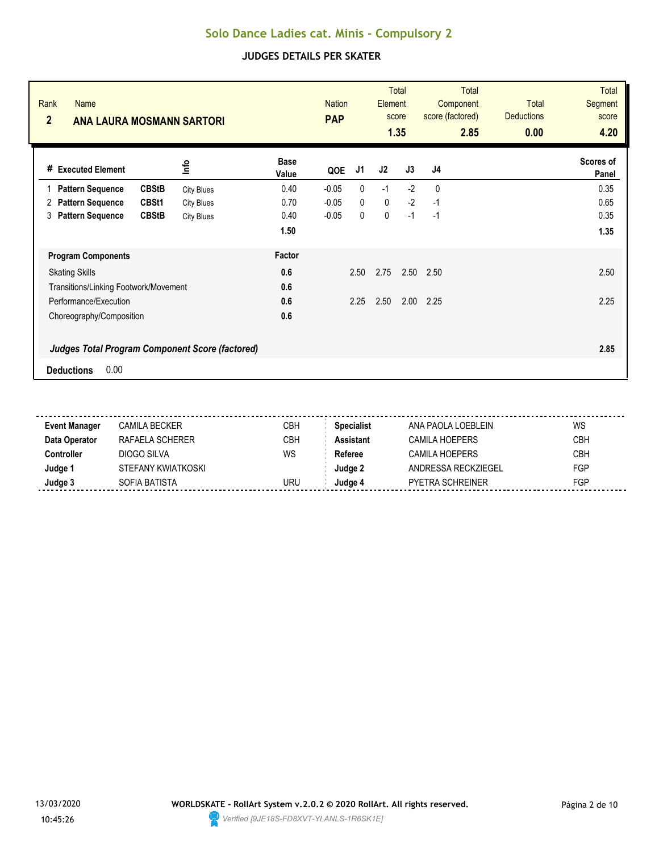| Rank<br><b>Name</b><br>$\overline{2}$<br><b>ANA LAURA MOSMANN SARTORI</b> |                   |                      | <b>Nation</b><br><b>PAP</b> |              | Element     | <b>Total</b><br>score<br>1.35 | <b>Total</b><br>Component<br>score (factored)<br>2.85 | <b>Total</b><br><b>Deductions</b><br>0.00 | <b>Total</b><br><b>Segment</b><br>score<br>4.20 |
|---------------------------------------------------------------------------|-------------------|----------------------|-----------------------------|--------------|-------------|-------------------------------|-------------------------------------------------------|-------------------------------------------|-------------------------------------------------|
| # Executed Element                                                        | lnfo              | <b>Base</b><br>Value | QOE                         | J1           | J2          | J3                            | J <sub>4</sub>                                        |                                           | Scores of<br>Panel                              |
| <b>CBStB</b><br><b>Pattern Sequence</b>                                   | <b>City Blues</b> | 0.40                 | $-0.05$                     | $\mathbf{0}$ | $-1$        | $-2$                          | $\mathbf{0}$                                          |                                           | 0.35                                            |
| <b>Pattern Sequence</b><br>CBSt1<br>2                                     | <b>City Blues</b> | 0.70                 | $-0.05$                     | $\mathbf{0}$ | $\mathbf 0$ | $-2$                          | $-1$                                                  |                                           | 0.65                                            |
| <b>Pattern Sequence</b><br><b>CBStB</b><br>3                              | <b>City Blues</b> | 0.40                 | $-0.05$                     | 0            | 0           | $-1$                          | $-1$                                                  |                                           | 0.35                                            |
|                                                                           |                   | 1.50                 |                             |              |             |                               |                                                       |                                           | 1.35                                            |
| <b>Program Components</b>                                                 |                   | Factor               |                             |              |             |                               |                                                       |                                           |                                                 |
| <b>Skating Skills</b>                                                     |                   | 0.6                  |                             | 2.50         | 2.75        | 2.50                          | 2.50                                                  |                                           | 2.50                                            |
| Transitions/Linking Footwork/Movement                                     |                   | 0.6                  |                             |              |             |                               |                                                       |                                           |                                                 |
| Performance/Execution                                                     |                   | 0.6                  |                             | 2.25         | 2.50        | 2.00                          | 2.25                                                  |                                           | 2.25                                            |
| Choreography/Composition                                                  |                   | 0.6                  |                             |              |             |                               |                                                       |                                           |                                                 |
| <b>Judges Total Program Component Score (factored)</b>                    |                   |                      |                             |              |             |                               |                                                       |                                           | 2.85                                            |
| 0.00<br><b>Deductions</b>                                                 |                   |                      |                             |              |             |                               |                                                       |                                           |                                                 |

| <b>Event Manager</b> | CAMILA BECKER      | СВН        | <b>Specialist</b> | ANA PAOLA LOEBLEIN      | WS         |
|----------------------|--------------------|------------|-------------------|-------------------------|------------|
| Data Operator        | RAFAELA SCHERER    | <b>CBH</b> | Assistant         | <b>CAMILA HOEPERS</b>   | <b>CBH</b> |
| :ontroller           | DIOGO SILVA        | WS         | Referee           | CAMILA HOEPERS          | <b>CBH</b> |
| Judge '              | STEFANY KWIATKOSKI |            | Judae 2           | ANDRESSA RECKZIEGEL     | <b>FGP</b> |
| Judge 3              | SOFIA BATISTA      | uru        | Judae 4           | <b>PYETRA SCHREINER</b> | FGP        |
|                      |                    |            |                   |                         |            |

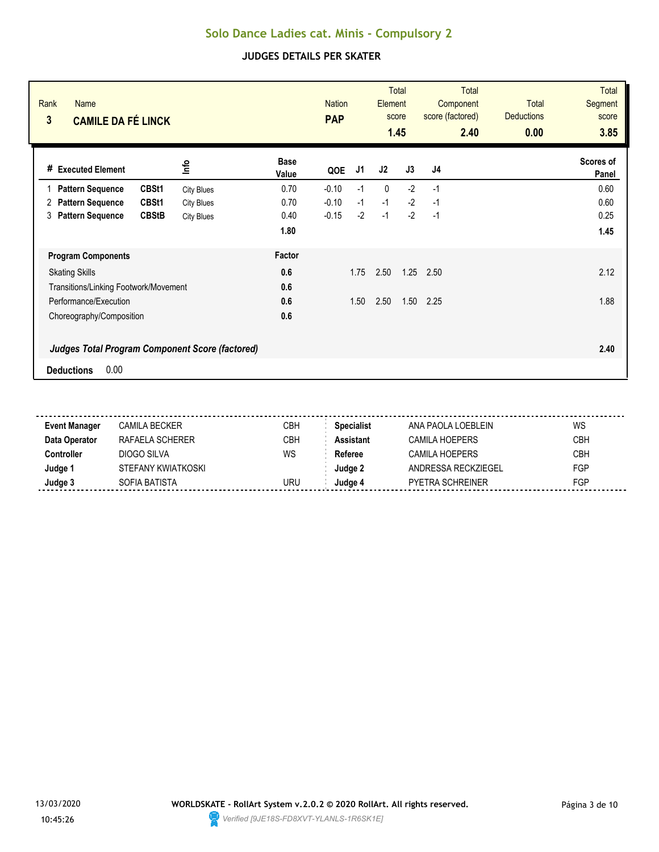| Rank<br><b>Name</b><br>3<br><b>CAMILE DA FÉ LINCK</b>  |                   |                      | <b>Nation</b><br><b>PAP</b> |      | Element      | <b>Total</b><br>score<br>1.45 | <b>Total</b><br>Component<br>score (factored)<br>2.40 | <b>Total</b><br><b>Deductions</b><br>0.00 | <b>Total</b><br><b>Segment</b><br>score<br>3.85 |
|--------------------------------------------------------|-------------------|----------------------|-----------------------------|------|--------------|-------------------------------|-------------------------------------------------------|-------------------------------------------|-------------------------------------------------|
| # Executed Element                                     | lnfo              | <b>Base</b><br>Value | QOE                         | J1   | J2           | J3                            | J4                                                    |                                           | Scores of<br>Panel                              |
| CBSt1<br><b>Pattern Sequence</b>                       | <b>City Blues</b> | 0.70                 | $-0.10$                     | $-1$ | $\mathbf{0}$ | $-2$                          | $-1$                                                  |                                           | 0.60                                            |
| <b>Pattern Sequence</b><br>CBSt1<br>2                  | <b>City Blues</b> | 0.70                 | $-0.10$                     | $-1$ | $-1$         | $-2$                          | $-1$                                                  |                                           | 0.60                                            |
| <b>Pattern Sequence</b><br><b>CBStB</b><br>3           | <b>City Blues</b> | 0.40                 | $-0.15$                     | $-2$ | $-1$         | $-2$                          | $-1$                                                  |                                           | 0.25                                            |
|                                                        |                   | 1.80                 |                             |      |              |                               |                                                       |                                           | 1.45                                            |
| <b>Program Components</b>                              |                   | Factor               |                             |      |              |                               |                                                       |                                           |                                                 |
| <b>Skating Skills</b>                                  |                   | 0.6                  |                             | 1.75 | 2.50         | 1.25                          | 2.50                                                  |                                           | 2.12                                            |
| Transitions/Linking Footwork/Movement                  |                   | 0.6                  |                             |      |              |                               |                                                       |                                           |                                                 |
| Performance/Execution                                  |                   | 0.6                  |                             | 1.50 | 2.50         | 1.50                          | 2.25                                                  |                                           | 1.88                                            |
| Choreography/Composition                               |                   | 0.6                  |                             |      |              |                               |                                                       |                                           |                                                 |
| <b>Judges Total Program Component Score (factored)</b> |                   |                      |                             |      |              |                               |                                                       |                                           | 2.40                                            |
| 0.00<br><b>Deductions</b>                              |                   |                      |                             |      |              |                               |                                                       |                                           |                                                 |

| <b>Event Manager</b> | CAMILA BECKER      | CBH | <b>Specialist</b> | ANA PAOLA LOEBLEIN      | WS         |
|----------------------|--------------------|-----|-------------------|-------------------------|------------|
| Data Operator        | RAFAELA SCHERER    | СВН | Assistant         | CAMILA HOEPERS          | <b>CBH</b> |
| :ontroller           | DIOGO SILVA        | WS  | Referee           | CAMILA HOEPERS          | <b>CBH</b> |
| Judge '              | STEFANY KWIATKOSKI |     | Judae 2           | ANDRESSA RECKZIFGFI     | FGP        |
| Judge 3              | SOFIA BATISTA      | URU | Judge 4           | <b>PYETRA SCHREINER</b> | FGP        |
|                      |                    |     |                   |                         |            |

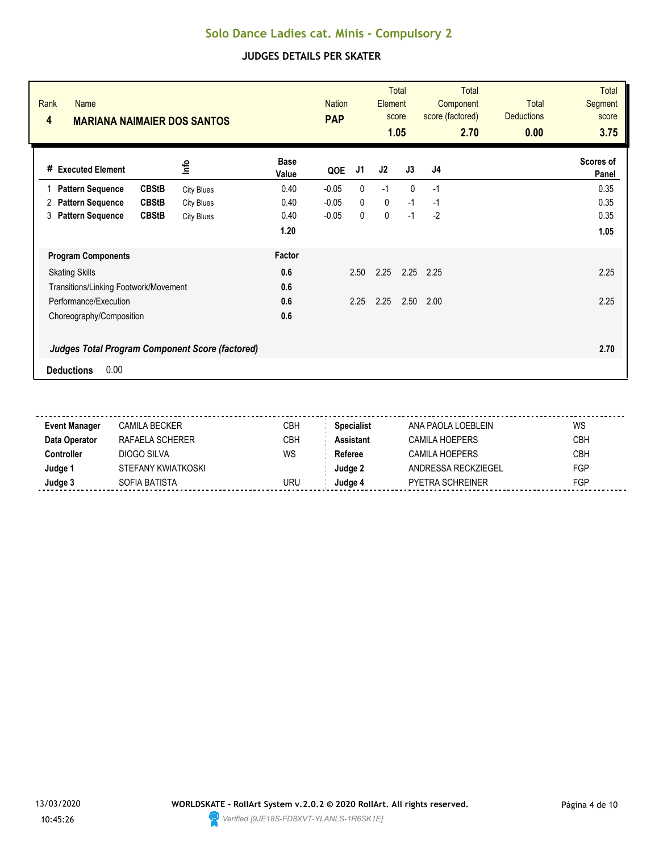| Rank<br><b>Name</b><br>4<br><b>MARIANA NAIMAIER DOS SANTOS</b> |                              | <b>Nation</b><br><b>PAP</b> |      | Element     | <b>Total</b><br>score<br>1.05 | Total<br>Component<br>score (factored)<br>2.70 | <b>Total</b><br><b>Deductions</b><br>0.00 | Total<br><b>Segment</b><br>score<br>3.75 |
|----------------------------------------------------------------|------------------------------|-----------------------------|------|-------------|-------------------------------|------------------------------------------------|-------------------------------------------|------------------------------------------|
| # Executed Element                                             | <b>Base</b><br>lnfo<br>Value | QOE                         | J1   | J2          | J3                            | J <sub>4</sub>                                 |                                           | Scores of<br>Panel                       |
| <b>CBStB</b><br><b>Pattern Sequence</b>                        | 0.40<br><b>City Blues</b>    | $-0.05$                     | 0    | $-1$        | $\mathbf{0}$                  | $-1$                                           |                                           | 0.35                                     |
| <b>CBStB</b><br><b>Pattern Sequence</b><br>2                   | 0.40<br><b>City Blues</b>    | $-0.05$                     | 0    | $\mathbf 0$ | $-1$                          | -1                                             |                                           | 0.35                                     |
| <b>Pattern Sequence</b><br><b>CBStB</b><br>3                   | 0.40<br><b>City Blues</b>    | $-0.05$                     | 0    | 0           | $-1$                          | $-2$                                           |                                           | 0.35                                     |
|                                                                | 1.20                         |                             |      |             |                               |                                                |                                           | 1.05                                     |
| <b>Program Components</b>                                      | Factor                       |                             |      |             |                               |                                                |                                           |                                          |
| <b>Skating Skills</b>                                          | 0.6                          |                             | 2.50 | 2.25        | 2.25                          | 2.25                                           |                                           | 2.25                                     |
| Transitions/Linking Footwork/Movement                          | 0.6                          |                             |      |             |                               |                                                |                                           |                                          |
| Performance/Execution                                          | 0.6                          |                             | 2.25 | 2.25        | 2.50                          | 2.00                                           |                                           | 2.25                                     |
| Choreography/Composition                                       | 0.6                          |                             |      |             |                               |                                                |                                           |                                          |
| <b>Judges Total Program Component Score (factored)</b>         |                              |                             |      |             |                               |                                                |                                           | 2.70                                     |
| 0.00<br><b>Deductions</b>                                      |                              |                             |      |             |                               |                                                |                                           |                                          |

| <b>Event Manager</b> | CAMILA BECKER      | СВН        | <b>Specialist</b> | ANA PAOLA LOEBLEIN      | WS         |
|----------------------|--------------------|------------|-------------------|-------------------------|------------|
| Data Operator        | RAFAELA SCHERER    | <b>CBH</b> | Assistant         | <b>CAMILA HOEPERS</b>   | <b>CBH</b> |
| :ontroller           | DIOGO SILVA        | WS         | Referee           | CAMILA HOEPERS          | <b>CBH</b> |
| Judge '              | STEFANY KWIATKOSKI |            | Judae 2           | ANDRESSA RECKZIEGEL     | <b>FGP</b> |
| Judge 3              | SOFIA BATISTA      | uru        | Judae 4           | <b>PYETRA SCHREINER</b> | FGP        |
|                      |                    |            |                   |                         |            |

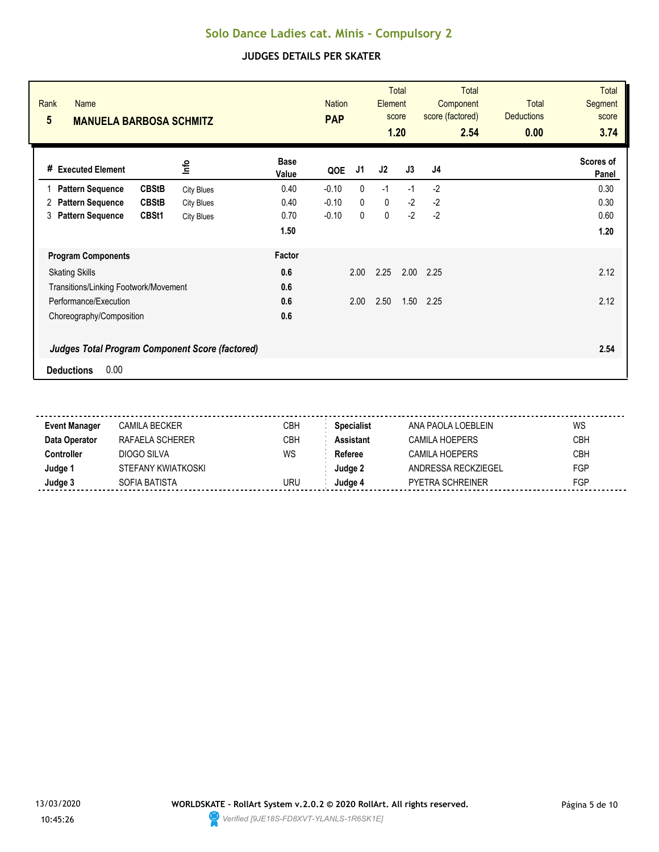| Rank<br><b>Name</b><br>$5\phantom{.0}$<br><b>MANUELA BARBOSA SCHMITZ</b> |                   |                      | <b>Nation</b><br><b>PAP</b> |              | Element     | <b>Total</b><br>score<br>1.20 | <b>Total</b><br>Component<br>score (factored)<br>2.54 | <b>Total</b><br><b>Deductions</b><br>0.00 | <b>Total</b><br><b>Segment</b><br>score<br>3.74 |
|--------------------------------------------------------------------------|-------------------|----------------------|-----------------------------|--------------|-------------|-------------------------------|-------------------------------------------------------|-------------------------------------------|-------------------------------------------------|
| # Executed Element                                                       | lnfo              | <b>Base</b><br>Value | QOE                         | J1           | J2          | J3                            | J <sub>4</sub>                                        |                                           | Scores of<br>Panel                              |
| <b>CBStB</b><br><b>Pattern Sequence</b>                                  | <b>City Blues</b> | 0.40                 | $-0.10$                     | $\mathbf{0}$ | $-1$        | $-1$                          | $-2$                                                  |                                           | 0.30                                            |
| <b>Pattern Sequence</b><br><b>CBStB</b><br>2                             | <b>City Blues</b> | 0.40                 | $-0.10$                     | $\mathbf{0}$ | $\mathbf 0$ | $-2$                          | $-2$                                                  |                                           | 0.30                                            |
| <b>Pattern Sequence</b><br>CBSt1<br>3                                    | <b>City Blues</b> | 0.70                 | $-0.10$                     | 0            | 0           | $-2$                          | $-2$                                                  |                                           | 0.60                                            |
|                                                                          |                   | 1.50                 |                             |              |             |                               |                                                       |                                           | 1.20                                            |
| <b>Program Components</b>                                                |                   | Factor               |                             |              |             |                               |                                                       |                                           |                                                 |
| <b>Skating Skills</b>                                                    |                   | 0.6                  |                             | 2.00         | 2.25        | 2.00                          | 2.25                                                  |                                           | 2.12                                            |
| Transitions/Linking Footwork/Movement                                    |                   | 0.6                  |                             |              |             |                               |                                                       |                                           |                                                 |
| Performance/Execution                                                    |                   | 0.6                  |                             | 2.00         | 2.50        | 1.50                          | 2.25                                                  |                                           | 2.12                                            |
| Choreography/Composition                                                 |                   | 0.6                  |                             |              |             |                               |                                                       |                                           |                                                 |
| <b>Judges Total Program Component Score (factored)</b>                   |                   |                      |                             |              |             |                               |                                                       |                                           | 2.54                                            |
| 0.00<br><b>Deductions</b>                                                |                   |                      |                             |              |             |                               |                                                       |                                           |                                                 |

| <b>Event Manager</b> | CAMILA BECKER      | СВН        | <b>Specialist</b> | ANA PAOLA LOEBLEIN      | WS         |
|----------------------|--------------------|------------|-------------------|-------------------------|------------|
| Data Operator        | RAFAELA SCHERER    | <b>CBH</b> | Assistant         | <b>CAMILA HOEPERS</b>   | <b>CBH</b> |
| :ontroller           | DIOGO SILVA        | WS         | Referee           | CAMILA HOEPERS          | <b>CBH</b> |
| Judge '              | STEFANY KWIATKOSKI |            | Judae 2           | ANDRESSA RECKZIEGEL     | <b>FGP</b> |
| Judge 3              | SOFIA BATISTA      | uru        | Judae 4           | <b>PYETRA SCHREINER</b> | FGP        |
|                      |                    |            |                   |                         |            |

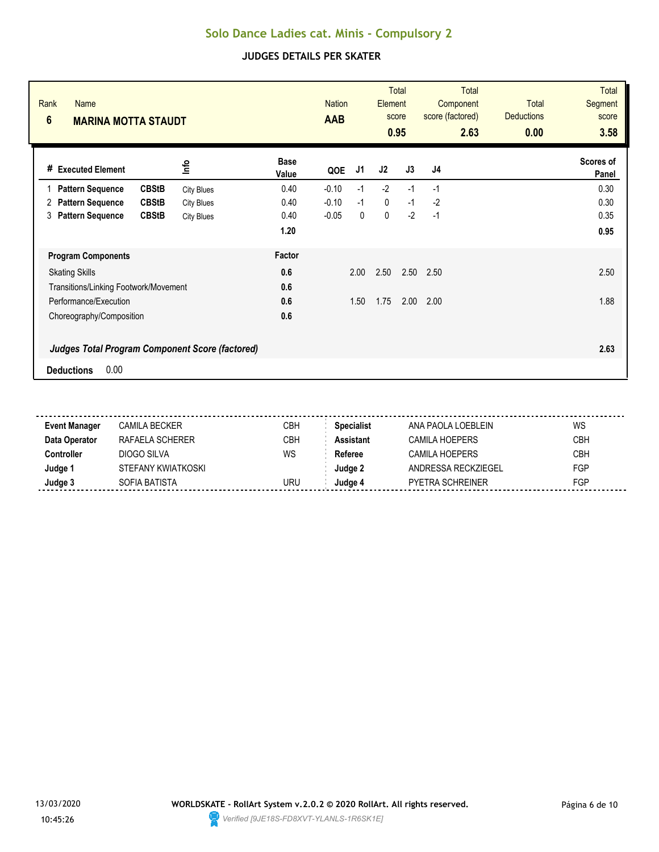| Rank<br><b>Name</b><br>$6\phantom{a}$<br><b>MARINA MOTTA STAUDT</b>                 |                      | <b>Nation</b><br><b>AAB</b> |             | Element | <b>Total</b><br>score<br>0.95 | <b>Total</b><br>Component<br>score (factored)<br>2.63 | <b>Total</b><br><b>Deductions</b><br>0.00 | <b>Total</b><br><b>Segment</b><br>score<br>3.58 |
|-------------------------------------------------------------------------------------|----------------------|-----------------------------|-------------|---------|-------------------------------|-------------------------------------------------------|-------------------------------------------|-------------------------------------------------|
| lnfo<br># Executed Element                                                          | <b>Base</b><br>Value | QOE                         | J1          | J2      | J3                            | J <sub>4</sub>                                        |                                           | Scores of<br>Panel                              |
| <b>Pattern Sequence</b><br><b>CBStB</b><br><b>City Blues</b>                        | 0.40                 | $-0.10$                     | $-1$        | $-2$    | $-1$                          | $-1$                                                  |                                           | 0.30                                            |
| <b>Pattern Sequence</b><br><b>CBStB</b><br>2<br><b>City Blues</b>                   | 0.40                 | $-0.10$                     | $-1$        | 0       | $-1$                          | $-2$                                                  |                                           | 0.30                                            |
| <b>Pattern Sequence</b><br><b>CBStB</b><br>3<br><b>City Blues</b>                   | 0.40                 | $-0.05$                     | $\mathbf 0$ | 0       | $-2$                          | $-1$                                                  |                                           | 0.35                                            |
|                                                                                     | 1.20                 |                             |             |         |                               |                                                       |                                           | 0.95                                            |
| <b>Program Components</b>                                                           | Factor               |                             |             |         |                               |                                                       |                                           |                                                 |
| <b>Skating Skills</b>                                                               | 0.6                  |                             | 2.00        | 2.50    | 2.50                          | 2.50                                                  |                                           | 2.50                                            |
| Transitions/Linking Footwork/Movement                                               | 0.6                  |                             |             |         |                               |                                                       |                                           |                                                 |
| Performance/Execution                                                               | 0.6                  |                             | 1.50        | 1.75    | 2.00                          | 2.00                                                  |                                           | 1.88                                            |
| Choreography/Composition                                                            | 0.6                  |                             |             |         |                               |                                                       |                                           |                                                 |
| <b>Judges Total Program Component Score (factored)</b><br>0.00<br><b>Deductions</b> |                      |                             |             |         |                               |                                                       |                                           | 2.63                                            |

| <b>Event Manager</b> | CAMILA BECKER      | CBH | <b>Specialist</b> | ANA PAOLA LOEBLEIN  | WS         |
|----------------------|--------------------|-----|-------------------|---------------------|------------|
| Data Operator        | RAFAELA SCHERER    | CBH | Assistant         | CAMILA HOEPFRS      | <b>CBH</b> |
| :ontroller           | DIOGO SILVA        | WS  | Referee           | CAMILA HOFPFRS      | CBH        |
| Judge 1              | STEFANY KWIATKOSKI |     | Judqe 2           | ANDRESSA RECKZIEGEL | <b>FGP</b> |
| Judge 3              | SOFIA BATISTA      | uru | Judae 4           | PYETRA SCHREINER    | FGP        |
|                      |                    |     |                   |                     |            |

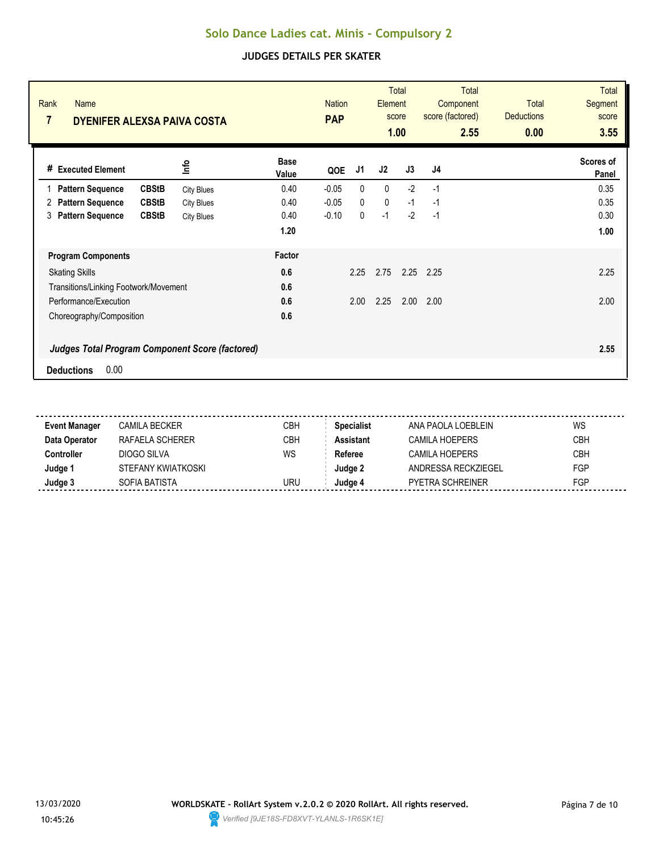| Rank<br><b>Name</b><br>$\overline{7}$<br>DYENIFER ALEXSA PAIVA COSTA |                           | <b>Nation</b><br><b>PAP</b> | Element      | <b>Total</b><br>score<br>1.00 | <b>Total</b><br>Component<br>score (factored)<br>2.55 | <b>Total</b><br><b>Deductions</b><br>0.00 | Total<br><b>Segment</b><br>score<br>3.55 |
|----------------------------------------------------------------------|---------------------------|-----------------------------|--------------|-------------------------------|-------------------------------------------------------|-------------------------------------------|------------------------------------------|
| lnfo<br># Executed Element                                           | <b>Base</b><br>Value      | J1<br>QOE                   | J2           | J3                            | J <sub>4</sub>                                        |                                           | Scores of<br>Panel                       |
| <b>Pattern Sequence</b><br><b>CBStB</b><br>$\mathbf{1}$              | 0.40<br><b>City Blues</b> | $\mathbf{0}$<br>$-0.05$     | $\mathbf{0}$ | $-2$                          | $-1$                                                  |                                           | 0.35                                     |
| <b>Pattern Sequence</b><br><b>CBStB</b><br>2                         | 0.40<br><b>City Blues</b> | $\mathbf{0}$<br>$-0.05$     | $\mathbf 0$  | $-1$                          | $-1$                                                  |                                           | 0.35                                     |
| <b>Pattern Sequence</b><br><b>CBStB</b><br>3                         | 0.40<br><b>City Blues</b> | $-0.10$<br>0                | $-1$         | $-2$                          | $-1$                                                  |                                           | 0.30                                     |
|                                                                      | 1.20                      |                             |              |                               |                                                       |                                           | 1.00                                     |
| <b>Program Components</b>                                            | Factor                    |                             |              |                               |                                                       |                                           |                                          |
| <b>Skating Skills</b>                                                | 0.6                       | 2.25                        | 2.75         | 2.25                          | 2.25                                                  |                                           | 2.25                                     |
| Transitions/Linking Footwork/Movement                                | 0.6                       |                             |              |                               |                                                       |                                           |                                          |
| Performance/Execution                                                | 0.6                       | 2.00                        | 2.25         | 2.00                          | 2.00                                                  |                                           | 2.00                                     |
| Choreography/Composition                                             | 0.6                       |                             |              |                               |                                                       |                                           |                                          |
| Judges Total Program Component Score (factored)                      |                           |                             |              |                               |                                                       |                                           | 2.55                                     |
| 0.00<br><b>Deductions</b>                                            |                           |                             |              |                               |                                                       |                                           |                                          |

| <b>Event Manager</b> | CAMILA BECKER      | CBH | <b>Specialist</b> | ANA PAOLA LOEBLEIN  | WS         |
|----------------------|--------------------|-----|-------------------|---------------------|------------|
| Data Operator        | RAFAELA SCHERER    | CBH | Assistant         | CAMILA HOEPFRS      | <b>CBH</b> |
| :ontroller           | DIOGO SILVA        | WS  | Referee           | CAMILA HOFPFRS      | CBH        |
| Judge 1              | STEFANY KWIATKOSKI |     | Judqe 2           | ANDRESSA RECKZIEGEL | <b>FGP</b> |
| Judge 3              | SOFIA BATISTA      | uru | Judae 4           | PYETRA SCHREINER    | FGP        |
|                      |                    |     |                   |                     |            |

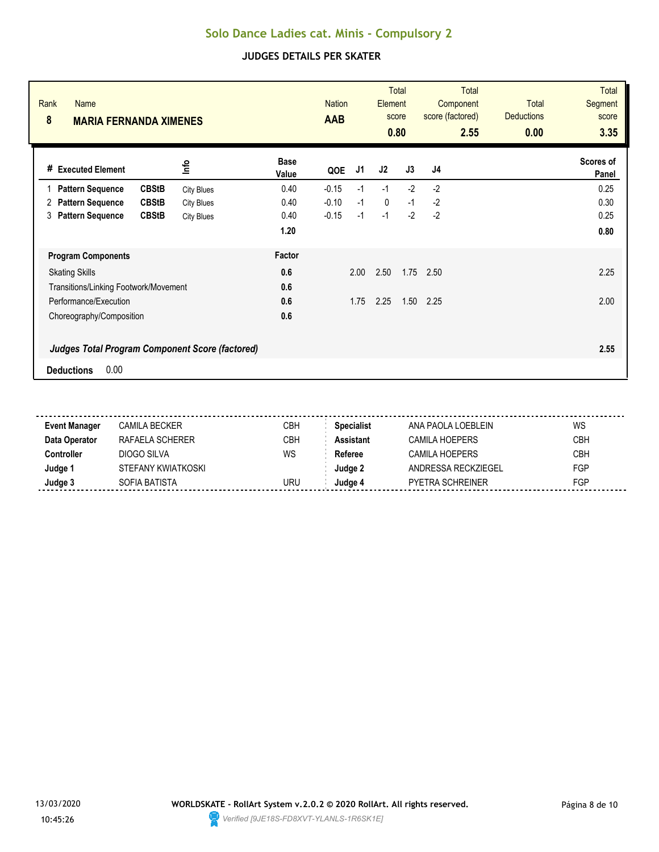| Rank<br><b>Name</b><br>8<br><b>MARIA FERNANDA XIMENES</b> |                   |                      | <b>Nation</b><br><b>AAB</b> |      | Element     | <b>Total</b><br>score<br>0.80 | <b>Total</b><br>Component<br>score (factored)<br>2.55 | <b>Total</b><br><b>Deductions</b><br>0.00 | <b>Total</b><br><b>Segment</b><br>score<br>3.35 |
|-----------------------------------------------------------|-------------------|----------------------|-----------------------------|------|-------------|-------------------------------|-------------------------------------------------------|-------------------------------------------|-------------------------------------------------|
| # Executed Element                                        | lnfo              | <b>Base</b><br>Value | QOE                         | J1   | J2          | J3                            | J4                                                    |                                           | Scores of<br>Panel                              |
| <b>CBStB</b><br><b>Pattern Sequence</b>                   | <b>City Blues</b> | 0.40                 | $-0.15$                     | $-1$ | $-1$        | $-2$                          | $-2$                                                  |                                           | 0.25                                            |
| <b>Pattern Sequence</b><br><b>CBStB</b><br>2              | <b>City Blues</b> | 0.40                 | $-0.10$                     | $-1$ | $\mathbf 0$ | $-1$                          | $-2$                                                  |                                           | 0.30                                            |
| <b>Pattern Sequence</b><br><b>CBStB</b><br>3              | <b>City Blues</b> | 0.40                 | $-0.15$                     | $-1$ | $-1$        | $-2$                          | $-2$                                                  |                                           | 0.25                                            |
|                                                           |                   | 1.20                 |                             |      |             |                               |                                                       |                                           | 0.80                                            |
| <b>Program Components</b>                                 |                   | Factor               |                             |      |             |                               |                                                       |                                           |                                                 |
| <b>Skating Skills</b>                                     |                   | 0.6                  |                             | 2.00 | 2.50        | 1.75                          | 2.50                                                  |                                           | 2.25                                            |
| Transitions/Linking Footwork/Movement                     |                   | 0.6                  |                             |      |             |                               |                                                       |                                           |                                                 |
| Performance/Execution                                     |                   | 0.6                  |                             | 1.75 | 2.25        | 1.50                          | 2.25                                                  |                                           | 2.00                                            |
| Choreography/Composition                                  |                   | 0.6                  |                             |      |             |                               |                                                       |                                           |                                                 |
| <b>Judges Total Program Component Score (factored)</b>    |                   |                      |                             |      |             |                               |                                                       |                                           | 2.55                                            |
| 0.00<br><b>Deductions</b>                                 |                   |                      |                             |      |             |                               |                                                       |                                           |                                                 |

| <b>Event Manager</b> | CAMILA BECKER      | CBH | <b>Specialist</b> | ANA PAOLA LOEBLEIN      | WS         |
|----------------------|--------------------|-----|-------------------|-------------------------|------------|
| Data Operator        | RAFAELA SCHERER    | СВН | Assistant         | CAMILA HOEPERS          | <b>CBH</b> |
| :ontroller           | DIOGO SILVA        | WS  | Referee           | CAMILA HOEPERS          | <b>CBH</b> |
| Judge '              | STEFANY KWIATKOSKI |     | Judae 2           | ANDRESSA RECKZIFGFI     | FGP        |
| Judge 3              | SOFIA BATISTA      | URU | Judge 4           | <b>PYETRA SCHREINER</b> | FGP        |
|                      |                    |     |                   |                         |            |

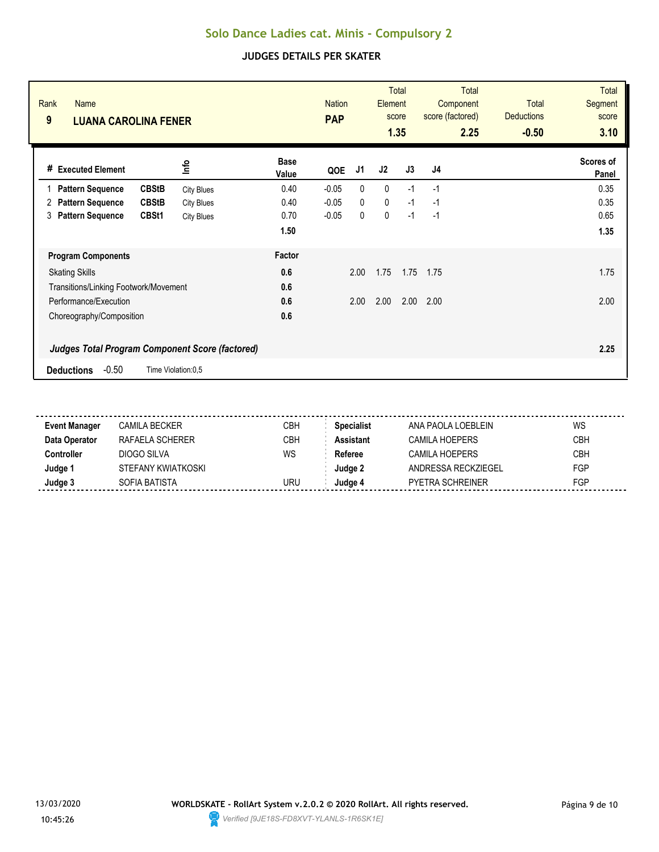| Rank<br><b>Name</b><br>9<br><b>LUANA CAROLINA FENER</b> |                                                        |                      | <b>Nation</b><br><b>PAP</b> |              | <b>Element</b> | <b>Total</b><br>score<br>1.35 | <b>Total</b><br>Component<br>score (factored)<br>2.25 | <b>Total</b><br><b>Deductions</b><br>$-0.50$ | <b>Total</b><br><b>Segment</b><br>score<br>3.10 |
|---------------------------------------------------------|--------------------------------------------------------|----------------------|-----------------------------|--------------|----------------|-------------------------------|-------------------------------------------------------|----------------------------------------------|-------------------------------------------------|
| <b>Executed Element</b><br>#                            | lnfo                                                   | <b>Base</b><br>Value | QOE                         | J1           | J2             | J3                            | J4                                                    |                                              | Scores of<br>Panel                              |
| <b>CBStB</b><br><b>Pattern Sequence</b>                 | <b>City Blues</b>                                      | 0.40                 | $-0.05$                     | 0            | 0              | $-1$                          | $-1$                                                  |                                              | 0.35                                            |
| <b>CBStB</b><br><b>Pattern Sequence</b><br>2            | <b>City Blues</b>                                      | 0.40                 | $-0.05$                     | $\mathbf{0}$ | 0              | $-1$                          | $-1$                                                  |                                              | 0.35                                            |
| <b>Pattern Sequence</b><br>CBSt1<br>3                   | <b>City Blues</b>                                      | 0.70                 | $-0.05$                     | 0            | 0              | $-1$                          | $-1$                                                  |                                              | 0.65                                            |
|                                                         |                                                        | 1.50                 |                             |              |                |                               |                                                       |                                              | 1.35                                            |
| <b>Program Components</b>                               |                                                        | Factor               |                             |              |                |                               |                                                       |                                              |                                                 |
| <b>Skating Skills</b>                                   |                                                        | 0.6                  |                             | 2.00         | 1.75           | 1.75                          | 1.75                                                  |                                              | 1.75                                            |
| Transitions/Linking Footwork/Movement                   |                                                        | 0.6                  |                             |              |                |                               |                                                       |                                              |                                                 |
| Performance/Execution                                   |                                                        | 0.6                  |                             | 2.00         | 2.00           | 2.00                          | 2.00                                                  |                                              | 2.00                                            |
| Choreography/Composition                                |                                                        | 0.6                  |                             |              |                |                               |                                                       |                                              |                                                 |
|                                                         | <b>Judges Total Program Component Score (factored)</b> |                      |                             |              |                |                               |                                                       |                                              | 2.25                                            |
| $-0.50$<br><b>Deductions</b><br>Time Violation:0,5      |                                                        |                      |                             |              |                |                               |                                                       |                                              |                                                 |

| <b>Event Manager</b> | CAMILA BECKER      | CBH | <b>Specialist</b> | ANA PAOLA LOFBLEIN      | WS         |
|----------------------|--------------------|-----|-------------------|-------------------------|------------|
| Data Operator        | RAFAELA SCHERER    | CBH | <b>Assistant</b>  | CAMILA HOEPERS          | <b>CBH</b> |
| Controller           | DIOGO SILVA        | WS  | Referee           | CAMILA HOEPERS          | <b>CBH</b> |
| Judge 1              | STEFANY KWIATKOSKI |     | Judge 2           | ANDRESSA RECKZIEGEL     | <b>FGP</b> |
| Judge 3              | SOFIA BATISTA      | URU | Judae 4           | <b>PYETRA SCHREINER</b> | <b>FGP</b> |
|                      |                    |     |                   |                         |            |